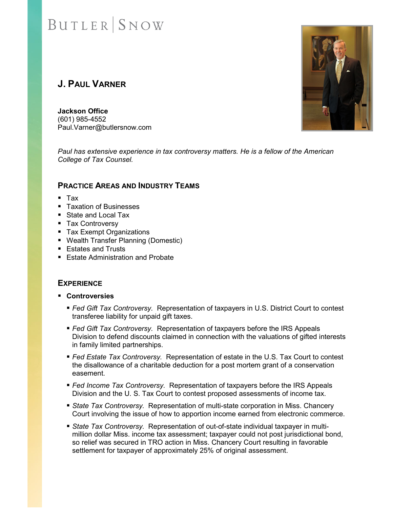# **J. PAUL VARNER**

**Jackson Office** (601) 985-4552 Paul.Varner@butlersnow.com

*Paul has extensive experience in tax controversy matters. He is a fellow of the American College of Tax Counsel.*

#### **PRACTICE AREAS AND INDUSTRY TEAMS**

- $Tax$
- Taxation of Businesses
- State and Local Tax
- Tax Controversy
- Tax Exempt Organizations
- Wealth Transfer Planning (Domestic)
- **Estates and Trusts**
- **Estate Administration and Probate**

### **EXPERIENCE**

- **Controversies**
	- *Fed Gift Tax Controversy.* Representation of taxpayers in U.S. District Court to contest transferee liability for unpaid gift taxes.
	- *Fed Gift Tax Controversy.* Representation of taxpayers before the IRS Appeals Division to defend discounts claimed in connection with the valuations of gifted interests in family limited partnerships.
	- *Fed Estate Tax Controversy.* Representation of estate in the U.S. Tax Court to contest the disallowance of a charitable deduction for a post mortem grant of a conservation easement.
	- *Fed Income Tax Controversy.* Representation of taxpayers before the IRS Appeals Division and the U. S. Tax Court to contest proposed assessments of income tax.
	- *State Tax Controversy.* Representation of multi-state corporation in Miss. Chancery Court involving the issue of how to apportion income earned from electronic commerce.
	- *State Tax Controversy.* Representation of out-of-state individual taxpayer in multimillion dollar Miss. income tax assessment; taxpayer could not post jurisdictional bond, so relief was secured in TRO action in Miss. Chancery Court resulting in favorable settlement for taxpayer of approximately 25% of original assessment.

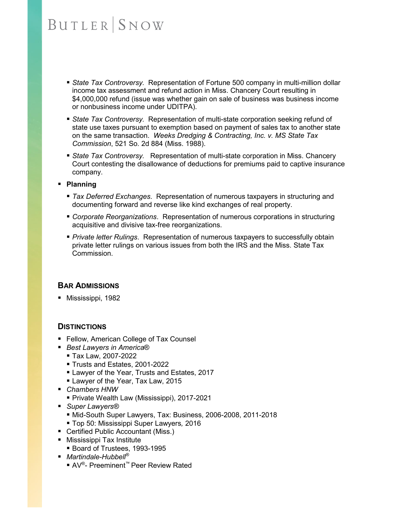- *State Tax Controversy.* Representation of Fortune 500 company in multi-million dollar income tax assessment and refund action in Miss. Chancery Court resulting in \$4,000,000 refund (issue was whether gain on sale of business was business income or nonbusiness income under UDITPA).
- *State Tax Controversy.* Representation of multi-state corporation seeking refund of state use taxes pursuant to exemption based on payment of sales tax to another state on the same transaction. *Weeks Dredging & Contracting, Inc. v. MS State Tax Commission*, 521 So. 2d 884 (Miss. 1988).
- *State Tax Controversy.* Representation of multi-state corporation in Miss. Chancery Court contesting the disallowance of deductions for premiums paid to captive insurance company.

#### **Planning**

- *Tax Deferred Exchanges*. Representation of numerous taxpayers in structuring and documenting forward and reverse like kind exchanges of real property.
- *Corporate Reorganizations*. Representation of numerous corporations in structuring acquisitive and divisive tax-free reorganizations.
- *Private letter Rulings*. Representation of numerous taxpayers to successfully obtain private letter rulings on various issues from both the IRS and the Miss. State Tax Commission.

### **BAR ADMISSIONS**

■ Mississippi, 1982

#### **DISTINCTIONS**

- Fellow, American College of Tax Counsel
- *Best Lawyers in America*®
	- Tax Law, 2007-2022
	- Trusts and Estates, 2001-2022
	- **Lawyer of the Year, Trusts and Estates, 2017**
	- **Lawyer of the Year, Tax Law, 2015**
- *Chambers HNW*
	- Private Wealth Law (Mississippi), 2017-2021
- *Super Lawyers<sup>®</sup>* 
	- Mid-South Super Lawyers, Tax: Business, 2006-2008, 2011-2018
- Top 50: Mississippi Super Lawyers*,* 2016
- Certified Public Accountant (Miss.)
- **Mississippi Tax Institute** 
	- Board of Trustees, 1993-1995
- *Martindale-Hubbell<sup>®</sup>* 
	- AV<sup>®</sup>- Preeminent™ Peer Review Rated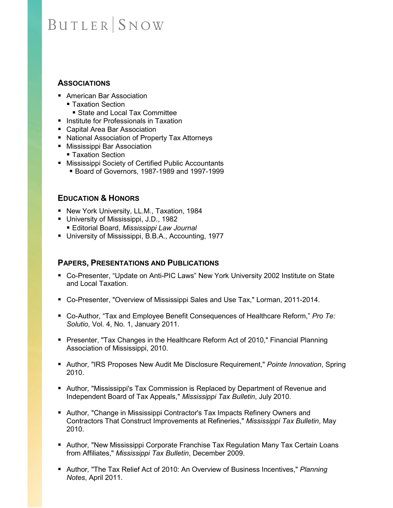### **ASSOCIATIONS**

- American Bar Association
	- Taxation Section
	- State and Local Tax Committee
- Institute for Professionals in Taxation
- Capital Area Bar Association
- National Association of Property Tax Attorneys
- Mississippi Bar Association
	- Taxation Section
- Mississippi Society of Certified Public Accountants
	- Board of Governors, 1987-1989 and 1997-1999

## **EDUCATION & HONORS**

- **New York University, LL.M., Taxation, 1984**
- University of Mississippi, J.D., 1982
- Editorial Board, *Mississippi Law Journal*
- University of Mississippi, B.B.A., Accounting, 1977

### **PAPERS, PRESENTATIONS AND PUBLICATIONS**

- Co-Presenter, "Update on Anti-PIC Laws" New York University 2002 Institute on State and Local Taxation.
- Co-Presenter, "Overview of Mississippi Sales and Use Tax," Lorman, 2011-2014.
- Co-Author, "Tax and Employee Benefit Consequences of Healthcare Reform," *Pro Te: Solutio*, Vol. 4, No. 1, January 2011.
- Presenter, "Tax Changes in the Healthcare Reform Act of 2010," Financial Planning Association of Mississippi, 2010.
- Author*,* ["IRS Proposes New Audit Me Disclosure Requirement,"](http://www.butlersnow.com/WorkArea/DownloadAsset.aspx?id=2870) *Pointe Innovation*, Spring 2010.
- **Author, "Mississippi's Tax Commission is Replaced by Department of Revenue and** [Independent Board of Tax Appeals,"](http://www.butlersnow.com/WorkArea/DownloadAsset.aspx?id=4278) *Mississippi Tax Bulletin*, July 2010.
- Author, "Change in Mississippi Contractor's Tax Impacts Refinery Owners and [Contractors That Construct Improvements at Refineries,"](http://www.butlersnow.com/WorkArea/DownloadAsset.aspx?id=4280) *Mississippi Tax Bulletin*, May 2010.
- **Author, "New Mississippi Corporate Franchise Tax Regulation Many Tax Certain Loans** [from Affiliates,"](http://www.butlersnow.com/WorkArea/DownloadAsset.aspx?id=4281) *Mississippi Tax Bulletin*, December 2009.
- Author*,* ["The Tax Relief Act of 2010: An Overview of Business Incentives,"](http://www.butlersnow.com/WorkArea/DownloadAsset.aspx?id=4432) *Planning Notes*, April 2011.